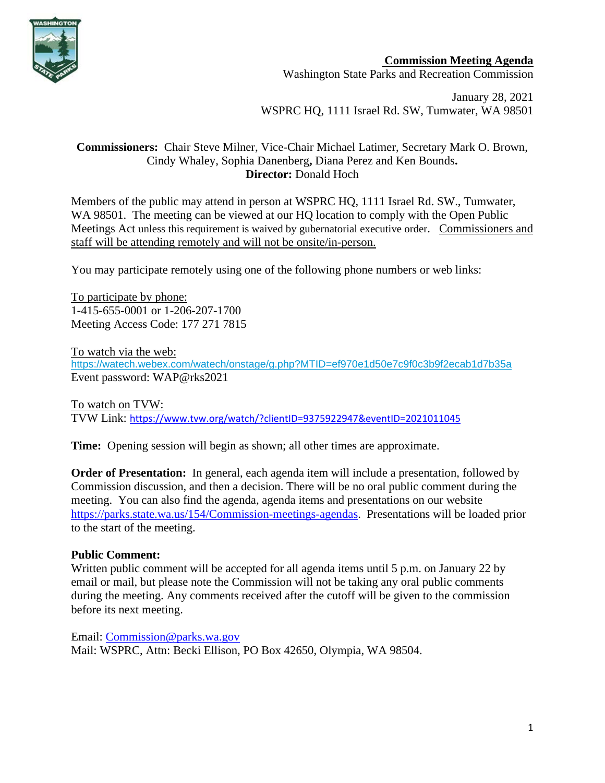

**Commission Meeting Agenda** Washington State Parks and Recreation Commission

January 28, 2021 WSPRC HQ, 1111 Israel Rd. SW, Tumwater, WA 98501

### **Commissioners:** Chair Steve Milner, Vice-Chair Michael Latimer, Secretary Mark O. Brown, Cindy Whaley, Sophia Danenberg**,** Diana Perez and Ken Bounds**. Director:** Donald Hoch

Members of the public may attend in person at WSPRC HQ, 1111 Israel Rd. SW., Tumwater, WA 98501. The meeting can be viewed at our HQ location to comply with the Open Public Meetings Act unless this requirement is waived by gubernatorial executive order. Commissioners and staff will be attending remotely and will not be onsite/in-person.

You may participate remotely using one of the following phone numbers or web links:

To participate by phone: 1-415-655-0001 or 1-206-207-1700 Meeting Access Code: 177 271 7815

To watch via the web: [https://watech.webex.com/watech/onstage/g.php?MTID=ef970e1d50e7c9f0c3b9f2ecab1d7b35a](https://gcc02.safelinks.protection.outlook.com/?url=https%3A%2F%2Fwatech.webex.com%2Fwatech%2Fonstage%2Fg.php%3FMTID%3Def970e1d50e7c9f0c3b9f2ecab1d7b35a&data=04%7C01%7CBecki.Ellison%40parks.wa.gov%7C6a644c0d239541656ce908d8a5f16285%7C11d0e217264e400a8ba057dcc127d72d%7C0%7C0%7C637441803438539901%7CUnknown%7CTWFpbGZsb3d8eyJWIjoiMC4wLjAwMDAiLCJQIjoiV2luMzIiLCJBTiI6Ik1haWwiLCJXVCI6Mn0%3D%7C1000&sdata=TDvHcE3LrF7vkauE7eBIM0hiz%2Bwy%2BcWHSd1BZ7rqUwQ%3D&reserved=0) Event password: WAP@rks2021

To watch on TVW: TVW Link: [https://www.tvw.org/watch/?clientID=9375922947&eventID=2021011045](https://gcc02.safelinks.protection.outlook.com/?url=https%3A%2F%2Fwww.tvw.org%2Fwatch%2F%3FclientID%3D9375922947%26eventID%3D2021011045&data=04%7C01%7CBecki.Ellison%40parks.wa.gov%7C8ae80a9b95a143d41c3708d8a5f93019%7C11d0e217264e400a8ba057dcc127d72d%7C0%7C0%7C637441836963795462%7CUnknown%7CTWFpbGZsb3d8eyJWIjoiMC4wLjAwMDAiLCJQIjoiV2luMzIiLCJBTiI6Ik1haWwiLCJXVCI6Mn0%3D%7C1000&sdata=hy6x%2BK%2Bh7%2BWsThXPlXMMVlXOyi8r9WcWQyc7iF0ZfVs%3D&reserved=0)

**Time:** Opening session will begin as shown; all other times are approximate.

**Order of Presentation:** In general, each agenda item will include a presentation, followed by Commission discussion, and then a decision. There will be no oral public comment during the meeting. You can also find the agenda, agenda items and presentations on our website [https://parks.state.wa.us/154/Commission-meetings-agendas.](https://parks.state.wa.us/154/Commission-meetings-agendas) Presentations will be loaded prior to the start of the meeting.

# **Public Comment:**

Written public comment will be accepted for all agenda items until 5 p.m. on January 22 by email or mail, but please note the Commission will not be taking any oral public comments during the meeting. Any comments received after the cutoff will be given to the commission before its next meeting.

Email: [Commission@parks.wa.gov](mailto:Commission@parks.wa.gov)  Mail: WSPRC, Attn: Becki Ellison, PO Box 42650, Olympia, WA 98504.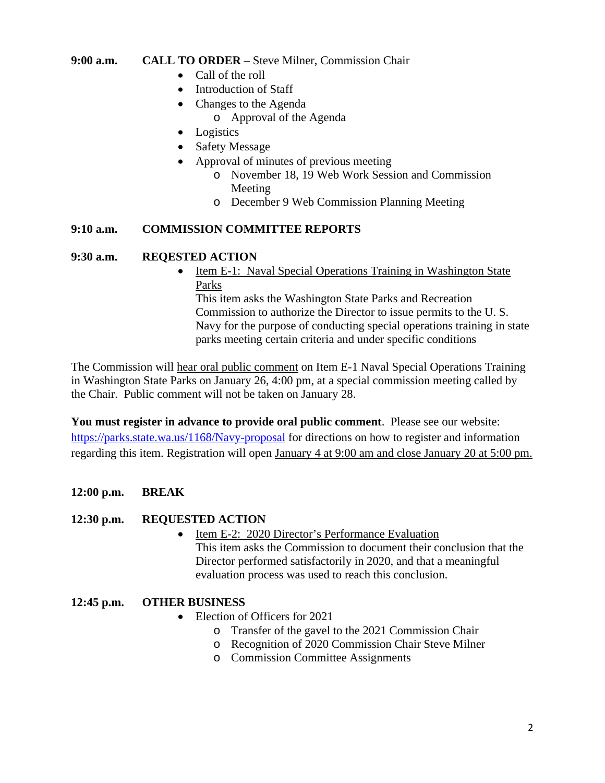### **9:00 a.m. CALL TO ORDER** – Steve Milner, Commission Chair

- Call of the roll
- Introduction of Staff
- Changes to the Agenda
	- o Approval of the Agenda
- Logistics
- Safety Message
- Approval of minutes of previous meeting
	- o November 18, 19 Web Work Session and Commission Meeting
	- o December 9 Web Commission Planning Meeting

## **9:10 a.m. COMMISSION COMMITTEE REPORTS**

## **9:30 a.m. REQESTED ACTION**

• Item E-1: Naval Special Operations Training in Washington State Parks This item asks the Washington State Parks and Recreation Commission to authorize the Director to issue permits to the U. S. Navy for the purpose of conducting special operations training in state parks meeting certain criteria and under specific conditions

The Commission will hear oral public comment on Item E-1 Naval Special Operations Training in Washington State Parks on January 26, 4:00 pm, at a special commission meeting called by the Chair. Public comment will not be taken on January 28.

**You must register in advance to provide oral public comment**. Please see our website: <https://parks.state.wa.us/1168/Navy-proposal> for directions on how to register and information regarding this item. Registration will open January 4 at 9:00 am and close January 20 at 5:00 pm.

# **12:00 p.m. BREAK**

# **12:30 p.m. REQUESTED ACTION**

- Item E-2: 2020 Director's Performance Evaluation This item asks the Commission to document their conclusion that the Director performed satisfactorily in 2020, and that a meaningful
	- evaluation process was used to reach this conclusion.

# **12:45 p.m. OTHER BUSINESS**

- Election of Officers for 2021
	- o Transfer of the gavel to the 2021 Commission Chair
	- o Recognition of 2020 Commission Chair Steve Milner
	- o Commission Committee Assignments